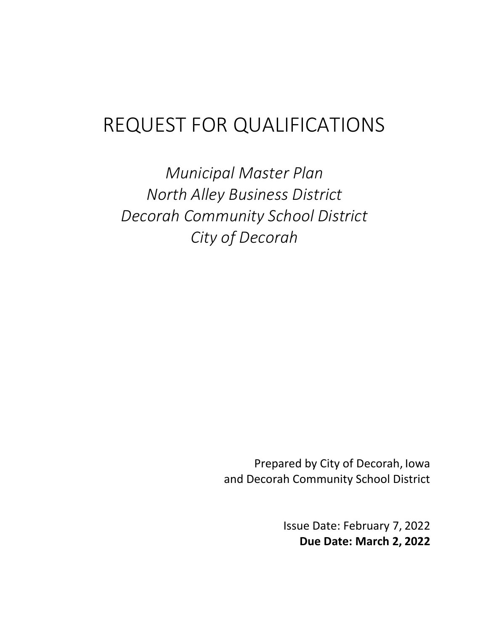# REQUEST FOR QUALIFICATIONS

*Municipal Master Plan North Alley Business District Decorah Community School District City of Decorah*

> Prepared by City of Decorah, Iowa and Decorah Community School District

> > Issue Date: February 7, 2022 **Due Date: March 2, 2022**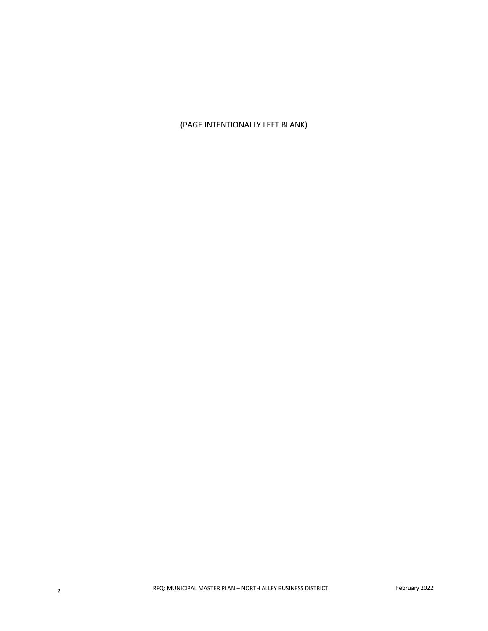# (PAGE INTENTIONALLY LEFT BLANK)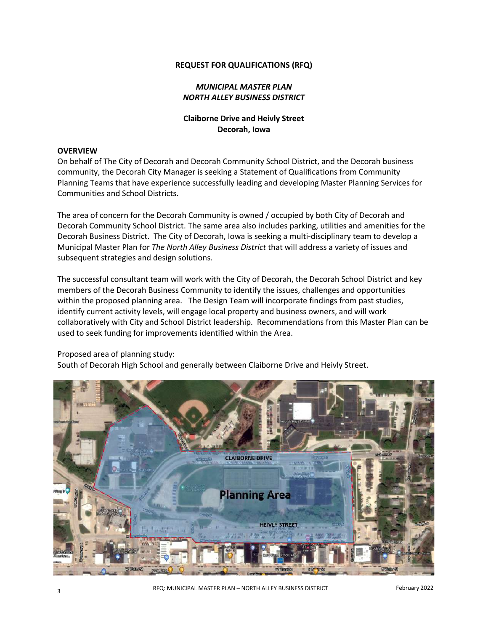#### **REQUEST FOR QUALIFICATIONS (RFQ)**

### *MUNICIPAL MASTER PLAN NORTH ALLEY BUSINESS DISTRICT*

# **Claiborne Drive and Heivly Street Decorah, Iowa**

#### **OVERVIEW**

On behalf of The City of Decorah and Decorah Community School District, and the Decorah business community, the Decorah City Manager is seeking a Statement of Qualifications from Community Planning Teams that have experience successfully leading and developing Master Planning Services for Communities and School Districts.

The area of concern for the Decorah Community is owned / occupied by both City of Decorah and Decorah Community School District. The same area also includes parking, utilities and amenities for the Decorah Business District. The City of Decorah, Iowa is seeking a multi-disciplinary team to develop a Municipal Master Plan for *The North Alley Business District* that will address a variety of issues and subsequent strategies and design solutions.

The successful consultant team will work with the City of Decorah, the Decorah School District and key members of the Decorah Business Community to identify the issues, challenges and opportunities within the proposed planning area. The Design Team will incorporate findings from past studies, identify current activity levels, will engage local property and business owners, and will work collaboratively with City and School District leadership. Recommendations from this Master Plan can be used to seek funding for improvements identified within the Area.

Proposed area of planning study:

South of Decorah High School and generally between Claiborne Drive and Heivly Street.



RFQ: MUNICIPAL MASTER PLAN - NORTH ALLEY BUSINESS DISTRICT FEBRUARY 2022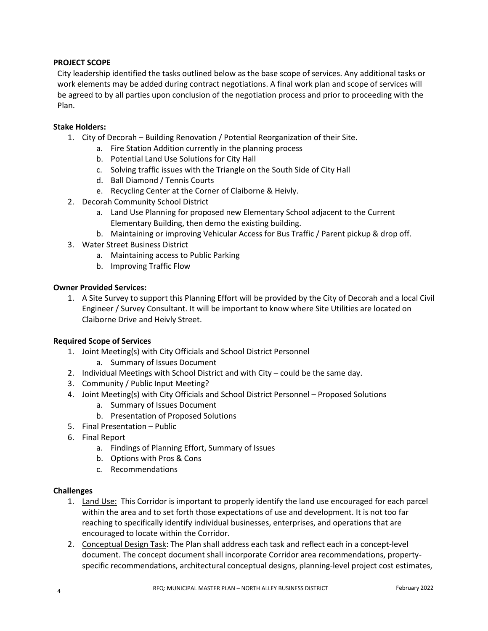### **PROJECT SCOPE**

City leadership identified the tasks outlined below as the base scope of services. Any additional tasks or work elements may be added during contract negotiations. A final work plan and scope of services will be agreed to by all parties upon conclusion of the negotiation process and prior to proceeding with the Plan.

## **Stake Holders:**

- 1. City of Decorah Building Renovation / Potential Reorganization of their Site.
	- a. Fire Station Addition currently in the planning process
	- b. Potential Land Use Solutions for City Hall
	- c. Solving traffic issues with the Triangle on the South Side of City Hall
	- d. Ball Diamond / Tennis Courts
	- e. Recycling Center at the Corner of Claiborne & Heivly.
- 2. Decorah Community School District
	- a. Land Use Planning for proposed new Elementary School adjacent to the Current Elementary Building, then demo the existing building.
	- b. Maintaining or improving Vehicular Access for Bus Traffic / Parent pickup & drop off.
- 3. Water Street Business District
	- a. Maintaining access to Public Parking
	- b. Improving Traffic Flow

### **Owner Provided Services:**

1. A Site Survey to support this Planning Effort will be provided by the City of Decorah and a local Civil Engineer / Survey Consultant. It will be important to know where Site Utilities are located on Claiborne Drive and Heivly Street.

### **Required Scope of Services**

- 1. Joint Meeting(s) with City Officials and School District Personnel
	- a. Summary of Issues Document
- 2. Individual Meetings with School District and with City could be the same day.
- 3. Community / Public Input Meeting?
- 4. Joint Meeting(s) with City Officials and School District Personnel Proposed Solutions
	- a. Summary of Issues Document
	- b. Presentation of Proposed Solutions
- 5. Final Presentation Public
- 6. Final Report
	- a. Findings of Planning Effort, Summary of Issues
	- b. Options with Pros & Cons
	- c. Recommendations

### **Challenges**

- 1. Land Use: This Corridor is important to properly identify the land use encouraged for each parcel within the area and to set forth those expectations of use and development. It is not too far reaching to specifically identify individual businesses, enterprises, and operations that are encouraged to locate within the Corridor.
- 2. Conceptual Design Task: The Plan shall address each task and reflect each in a concept-level document. The concept document shall incorporate Corridor area recommendations, propertyspecific recommendations, architectural conceptual designs, planning-level project cost estimates,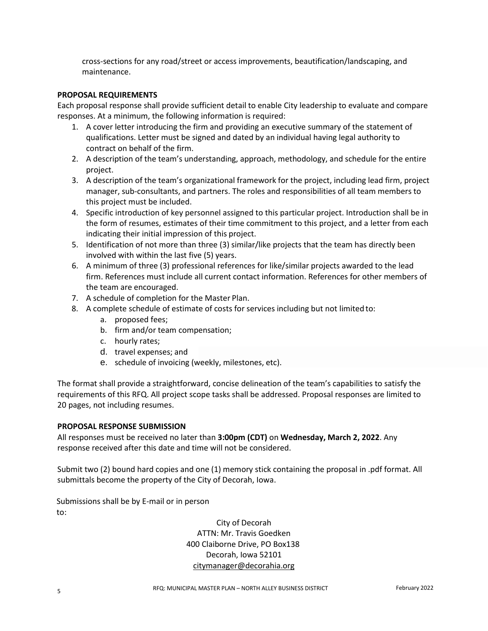cross-sections for any road/street or access improvements, beautification/landscaping, and maintenance.

#### **PROPOSAL REQUIREMENTS**

Each proposal response shall provide sufficient detail to enable City leadership to evaluate and compare responses. At a minimum, the following information is required:

- 1. A cover letter introducing the firm and providing an executive summary of the statement of qualifications. Letter must be signed and dated by an individual having legal authority to contract on behalf of the firm.
- 2. A description of the team's understanding, approach, methodology, and schedule for the entire project.
- 3. A description of the team's organizational framework for the project, including lead firm, project manager, sub-consultants, and partners. The roles and responsibilities of all team members to this project must be included.
- 4. Specific introduction of key personnel assigned to this particular project. Introduction shall be in the form of resumes, estimates of their time commitment to this project, and a letter from each indicating their initial impression of this project.
- 5. Identification of not more than three (3) similar/like projects that the team has directly been involved with within the last five (5) years.
- 6. A minimum of three (3) professional references for like/similar projects awarded to the lead firm. References must include all current contact information. References for other members of the team are encouraged.
- 7. A schedule of completion for the Master Plan.
- 8. A complete schedule of estimate of costs for services including but not limited to:
	- a. proposed fees;
	- b. firm and/or team compensation;
	- c. hourly rates;
	- d. travel expenses; and
	- e. schedule of invoicing (weekly, milestones, etc).

The format shall provide a straightforward, concise delineation of the team's capabilities to satisfy the requirements of this RFQ. All project scope tasks shall be addressed. Proposal responses are limited to 20 pages, not including resumes.

### **PROPOSAL RESPONSE SUBMISSION**

All responses must be received no later than **3:00pm (CDT)** on **Wednesday, March 2, 2022**. Any response received after this date and time will not be considered.

Submit two (2) bound hard copies and one (1) memory stick containing the proposal in .pdf format. All submittals become the property of the City of Decorah, Iowa.

Submissions shall be by E-mail or in person to:

> City of Decorah ATTN: Mr. Travis Goedken 400 Claiborne Drive, PO Box138 Decorah, Iowa 52101 [citymanager@decorahia.org](mailto:citymanager@decorahia.org)